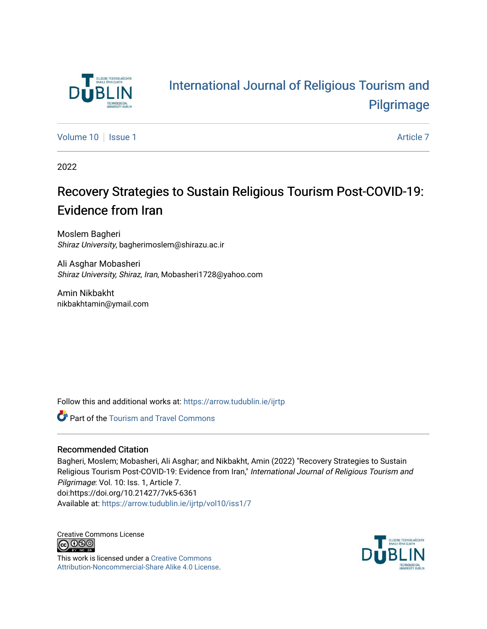

# [International Journal of Religious Tourism and](https://arrow.tudublin.ie/ijrtp)  [Pilgrimage](https://arrow.tudublin.ie/ijrtp)

[Volume 10](https://arrow.tudublin.ie/ijrtp/vol10) | [Issue 1](https://arrow.tudublin.ie/ijrtp/vol10/iss1) Article 7

2022

# Recovery Strategies to Sustain Religious Tourism Post-COVID-19: Evidence from Iran

Moslem Bagheri Shiraz University, bagherimoslem@shirazu.ac.ir

Ali Asghar Mobasheri Shiraz University, Shiraz, Iran, Mobasheri1728@yahoo.com

Amin Nikbakht nikbakhtamin@ymail.com

Follow this and additional works at: [https://arrow.tudublin.ie/ijrtp](https://arrow.tudublin.ie/ijrtp?utm_source=arrow.tudublin.ie%2Fijrtp%2Fvol10%2Fiss1%2F7&utm_medium=PDF&utm_campaign=PDFCoverPages)

**Part of the [Tourism and Travel Commons](https://network.bepress.com/hgg/discipline/1082?utm_source=arrow.tudublin.ie%2Fijrtp%2Fvol10%2Fiss1%2F7&utm_medium=PDF&utm_campaign=PDFCoverPages)** 

## Recommended Citation

Bagheri, Moslem; Mobasheri, Ali Asghar; and Nikbakht, Amin (2022) "Recovery Strategies to Sustain Religious Tourism Post-COVID-19: Evidence from Iran," International Journal of Religious Tourism and Pilgrimage: Vol. 10: Iss. 1, Article 7. doi:https://doi.org/10.21427/7vk5-6361 Available at: [https://arrow.tudublin.ie/ijrtp/vol10/iss1/7](https://arrow.tudublin.ie/ijrtp/vol10/iss1/7?utm_source=arrow.tudublin.ie%2Fijrtp%2Fvol10%2Fiss1%2F7&utm_medium=PDF&utm_campaign=PDFCoverPages)

Creative Commons License <u>@ 0®0</u>

This work is licensed under a [Creative Commons](https://creativecommons.org/licenses/by-nc-sa/4.0/) [Attribution-Noncommercial-Share Alike 4.0 License](https://creativecommons.org/licenses/by-nc-sa/4.0/).

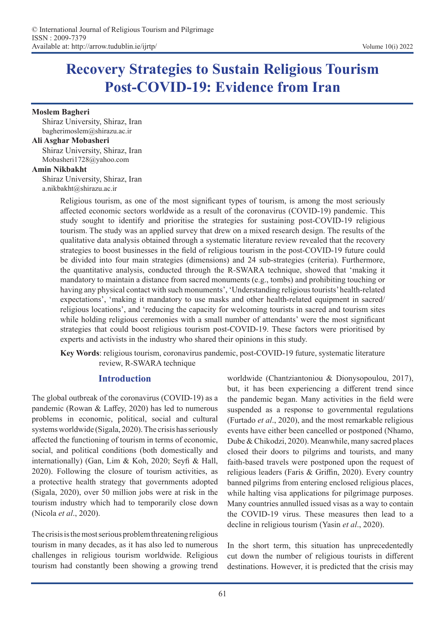# **Recovery Strategies to Sustain Religious Tourism Post-COVID-19: Evidence from Iran**

#### **Moslem Bagheri**

Shiraz University, Shiraz, Iran bagherimoslem@shirazu.ac.ir

#### **Ali Asghar Mobasheri**

Shiraz University, Shiraz, Iran Mobasheri1728@yahoo.com

#### **Amin Nikbakht**

Shiraz University, Shiraz, Iran a.nikbakht@shirazu.ac.ir

> Religious tourism, as one of the most significant types of tourism, is among the most seriously affected economic sectors worldwide as a result of the coronavirus (COVID-19) pandemic. This study sought to identify and prioritise the strategies for sustaining post-COVID-19 religious tourism. The study was an applied survey that drew on a mixed research design. The results of the qualitative data analysis obtained through a systematic literature review revealed that the recovery strategies to boost businesses in the field of religious tourism in the post-COVID-19 future could be divided into four main strategies (dimensions) and 24 sub-strategies (criteria). Furthermore, the quantitative analysis, conducted through the R-SWARA technique, showed that 'making it mandatory to maintain a distance from sacred monuments (e.g., tombs) and prohibiting touching or having any physical contact with such monuments', 'Understanding religious tourists' health-related expectations', 'making it mandatory to use masks and other health-related equipment in sacred/ religious locations', and 'reducing the capacity for welcoming tourists in sacred and tourism sites while holding religious ceremonies with a small number of attendants' were the most significant strategies that could boost religious tourism post-COVID-19. These factors were prioritised by experts and activists in the industry who shared their opinions in this study.

> **Key Words**: religious tourism, coronavirus pandemic, post-COVID-19 future, systematic literature review, R-SWARA technique

## **Introduction**

The global outbreak of the coronavirus (COVID-19) as a pandemic (Rowan & Laffey, 2020) has led to numerous problems in economic, political, social and cultural systems worldwide (Sigala, 2020). The crisis has seriously affected the functioning of tourism in terms of economic, social, and political conditions (both domestically and internationally) (Gan, Lim & Koh, 2020; Seyfi & Hall, 2020). Following the closure of tourism activities, as a protective health strategy that governments adopted (Sigala, 2020), over 50 million jobs were at risk in the tourism industry which had to temporarily close down (Nicola *et al*., 2020).

The crisis is the most serious problem threatening religious tourism in many decades, as it has also led to numerous challenges in religious tourism worldwide. Religious tourism had constantly been showing a growing trend worldwide (Chantziantoniou & Dionysopoulou, 2017), but, it has been experiencing a different trend since the pandemic began. Many activities in the field were suspended as a response to governmental regulations (Furtado *et al*., 2020), and the most remarkable religious events have either been cancelled or postponed (Nhamo, Dube & Chikodzi, 2020). Meanwhile, many sacred places closed their doors to pilgrims and tourists, and many faith-based travels were postponed upon the request of religious leaders (Faris & Griffin, 2020). Every country banned pilgrims from entering enclosed religious places, while halting visa applications for pilgrimage purposes. Many countries annulled issued visas as a way to contain the COVID-19 virus. These measures then lead to a decline in religious tourism (Yasin *et al*., 2020).

In the short term, this situation has unprecedentedly cut down the number of religious tourists in different destinations. However, it is predicted that the crisis may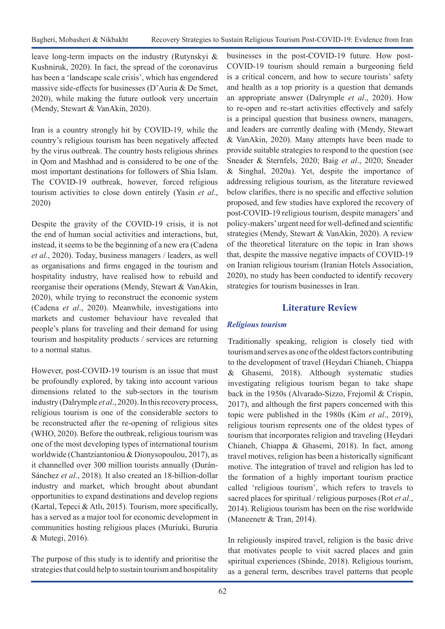leave long-term impacts on the industry (Rutynskyi & Kushniruk, 2020). In fact, the spread of the coronavirus has been a 'landscape scale crisis', which has engendered massive side-effects for businesses (D'Auria & De Smet, 2020), while making the future outlook very uncertain (Mendy, Stewart & VanAkin, 2020).

Iran is a country strongly hit by COVID-19, while the country's religious tourism has been negatively affected by the virus outbreak. The country hosts religious shrines in Qom and Mashhad and is considered to be one of the most important destinations for followers of Shia Islam. The COVID-19 outbreak, however, forced religious tourism activities to close down entirely (Yasin *et al*., 2020)

Despite the gravity of the COVID-19 crisis, it is not the end of human social activities and interactions, but, instead, it seems to be the beginning of a new era (Cadena *et al.*, 2020). Today, business managers / leaders, as well as organisations and firms engaged in the tourism and hospitality industry, have realised how to rebuild and reorganise their operations (Mendy, Stewart & VanAkin, 2020), while trying to reconstruct the economic system (Cadena *et al*., 2020). Meanwhile, investigations into markets and customer behaviour have revealed that people's plans for traveling and their demand for using tourism and hospitality products / services are returning to a normal status.

However, post-COVID-19 tourism is an issue that must be profoundly explored, by taking into account various dimensions related to the sub-sectors in the tourism industry (Dalrymple *et al*., 2020). In this recovery process, religious tourism is one of the considerable sectors to be reconstructed after the re-opening of religious sites (WHO, 2020). Before the outbreak, religious tourism was one of the most developing types of international tourism worldwide (Chantziantoniou & Dionysopoulou, 2017), as it channelled over 300 million tourists annually (Durán-Sánchez *et al*., 2018). It also created an 18-billion-dollar industry and market, which brought about abundant opportunities to expand destinations and develop regions (Kartal, Tepeci & Atlı, 2015). Tourism, more specifically, has a served as a major tool for economic development in communities hosting religious places (Muriuki, Bururia & Mutegi, 2016).

The purpose of this study is to identify and prioritise the strategies that could help to sustain tourism and hospitality

businesses in the post-COVID-19 future. How post-COVID-19 tourism should remain a burgeoning field is a critical concern, and how to secure tourists' safety and health as a top priority is a question that demands an appropriate answer (Dalrymple *et al*., 2020). How to re-open and re-start activities effectively and safely is a principal question that business owners, managers, and leaders are currently dealing with (Mendy, Stewart & VanAkin, 2020). Many attempts have been made to provide suitable strategies to respond to the question (see Sneader & Sternfels, 2020; Baig *et al*., 2020; Sneader & Singhal, 2020a). Yet, despite the importance of addressing religious tourism, as the literature reviewed below clarifies, there is no specific and effective solution proposed, and few studies have explored the recovery of post-COVID-19 religious tourism, despite managers' and policy-makers' urgent need for well-defined and scientific strategies (Mendy, Stewart & VanAkin, 2020). A review of the theoretical literature on the topic in Iran shows that, despite the massive negative impacts of COVID-19 on Iranian religious tourism (Iranian Hotels Association, 2020), no study has been conducted to identify recovery strategies for tourism businesses in Iran.

## **Literature Review**

## *Religious tourism*

Traditionally speaking, religion is closely tied with tourism and serves as one of the oldest factors contributing to the development of travel (Heydari Chianeh, Chiappa & Ghasemi, 2018). Although systematic studies investigating religious tourism began to take shape back in the 1950s (Alvarado-Sizzo, Frejomil & Crispin, 2017), and although the first papers concerned with this topic were published in the 1980s (Kim *et al*., 2019), religious tourism represents one of the oldest types of tourism that incorporates religion and traveling (Heydari Chianeh, Chiappa & Ghasemi, 2018). In fact, among travel motives, religion has been a historically significant motive. The integration of travel and religion has led to the formation of a highly important tourism practice called 'religious tourism', which refers to travels to sacred places for spiritual / religious purposes (Rot *et al*., 2014). Religious tourism has been on the rise worldwide (Maneenetr & Tran, 2014).

In religiously inspired travel, religion is the basic drive that motivates people to visit sacred places and gain spiritual experiences (Shinde, 2018). Religious tourism, as a general term, describes travel patterns that people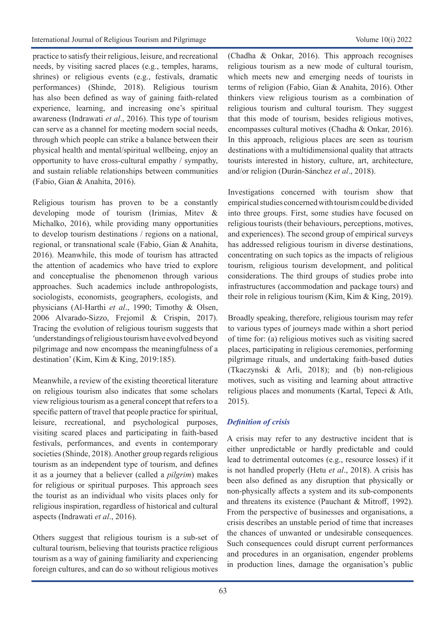practice to satisfy their religious, leisure, and recreational needs, by visiting sacred places (e.g., temples, harams, shrines) or religious events (e.g., festivals, dramatic performances) (Shinde, 2018). Religious tourism has also been defined as way of gaining faith-related experience, learning, and increasing one's spiritual awareness (Indrawati *et al*., 2016). This type of tourism can serve as a channel for meeting modern social needs, through which people can strike a balance between their physical health and mental/spiritual wellbeing, enjoy an opportunity to have cross-cultural empathy / sympathy, and sustain reliable relationships between communities (Fabio, Gian & Anahita, 2016).

Religious tourism has proven to be a constantly developing mode of tourism (Irimias, Mitev & Michalko, 2016), while providing many opportunities to develop tourism destinations / regions on a national, regional, or transnational scale (Fabio, Gian & Anahita, 2016). Meanwhile, this mode of tourism has attracted the attention of academics who have tried to explore and conceptualise the phenomenon through various approaches. Such academics include anthropologists, sociologists, economists, geographers, ecologists, and physicians (Al-Harthi *et al*., 1990; Timothy & Olsen, 2006 Alvarado-Sizzo, Frejomil & Crispin, 2017). Tracing the evolution of religious tourism suggests that 'understandings of religious tourism have evolved beyond pilgrimage and now encompass the meaningfulness of a destination' (Kim, Kim & King, 2019:185).

Meanwhile, a review of the existing theoretical literature on religious tourism also indicates that some scholars view religious tourism as a general concept that refers to a specific pattern of travel that people practice for spiritual, leisure, recreational, and psychological purposes, visiting scared places and participating in faith-based festivals, performances, and events in contemporary societies (Shinde, 2018). Another group regards religious tourism as an independent type of tourism, and defines it as a journey that a believer (called a *pilgrim*) makes for religious or spiritual purposes. This approach sees the tourist as an individual who visits places only for religious inspiration, regardless of historical and cultural aspects (Indrawati *et al*., 2016).

Others suggest that religious tourism is a sub-set of cultural tourism, believing that tourists practice religious tourism as a way of gaining familiarity and experiencing foreign cultures, and can do so without religious motives

(Chadha & Onkar, 2016). This approach recognises religious tourism as a new mode of cultural tourism, which meets new and emerging needs of tourists in terms of religion (Fabio, Gian & Anahita, 2016). Other thinkers view religious tourism as a combination of religious tourism and cultural tourism. They suggest that this mode of tourism, besides religious motives, encompasses cultural motives (Chadha & Onkar, 2016). In this approach, religious places are seen as tourism destinations with a multidimensional quality that attracts tourists interested in history, culture, art, architecture, and/or religion (Durán-Sánchez *et al*., 2018).

Investigations concerned with tourism show that empirical studies concerned with tourism could be divided into three groups. First, some studies have focused on religious tourists (their behaviours, perceptions, motives, and experiences). The second group of empirical surveys has addressed religious tourism in diverse destinations, concentrating on such topics as the impacts of religious tourism, religious tourism development, and political considerations. The third groups of studies probe into infrastructures (accommodation and package tours) and their role in religious tourism (Kim, Kim & King, 2019).

Broadly speaking, therefore, religious tourism may refer to various types of journeys made within a short period of time for: (a) religious motives such as visiting sacred places, participating in religious ceremonies, performing pilgrimage rituals, and undertaking faith-based duties (Tkaczynski & Arli, 2018); and (b) non-religious motives, such as visiting and learning about attractive religious places and monuments (Kartal, Tepeci & Atlı, 2015).

## *Definition of crisis*

A crisis may refer to any destructive incident that is either unpredictable or hardly predictable and could lead to detrimental outcomes (e.g., resource losses) if it is not handled properly (Hetu *et al*., 2018). A crisis has been also defined as any disruption that physically or non-physically affects a system and its sub-components and threatens its existence (Pauchant & Mitroff, 1992). From the perspective of businesses and organisations, a crisis describes an unstable period of time that increases the chances of unwanted or undesirable consequences. Such consequences could disrupt current performances and procedures in an organisation, engender problems in production lines, damage the organisation's public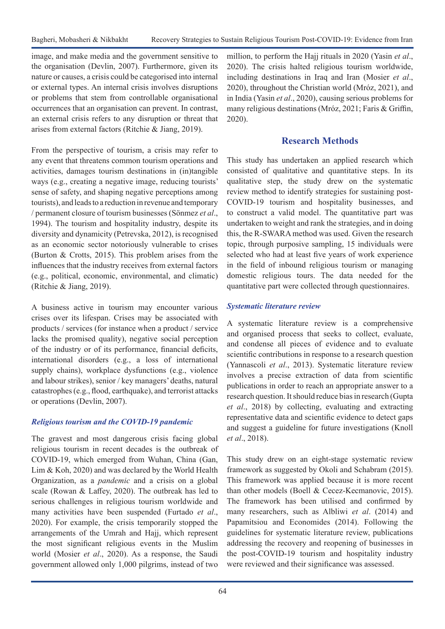image, and make media and the government sensitive to the organisation (Devlin, 2007). Furthermore, given its nature or causes, a crisis could be categorised into internal or external types. An internal crisis involves disruptions or problems that stem from controllable organisational occurrences that an organisation can prevent. In contrast, an external crisis refers to any disruption or threat that arises from external factors (Ritchie & Jiang, 2019).

From the perspective of tourism, a crisis may refer to any event that threatens common tourism operations and activities, damages tourism destinations in (in)tangible ways (e.g., creating a negative image, reducing tourists' sense of safety, and shaping negative perceptions among tourists), and leads to a reduction in revenue and temporary / permanent closure of tourism businesses (Sönmez *et al*., 1994). The tourism and hospitality industry, despite its diversity and dynamicity (Petrevska, 2012), is recognised as an economic sector notoriously vulnerable to crises (Burton & Crotts, 2015). This problem arises from the influences that the industry receives from external factors (e.g., political, economic, environmental, and climatic) (Ritchie & Jiang, 2019).

A business active in tourism may encounter various crises over its lifespan. Crises may be associated with products / services (for instance when a product / service lacks the promised quality), negative social perception of the industry or of its performance, financial deficits, international disorders (e.g., a loss of international supply chains), workplace dysfunctions (e.g., violence and labour strikes), senior / key managers' deaths, natural catastrophes (e.g., flood, earthquake), and terrorist attacks or operations (Devlin, 2007).

## *Religious tourism and the COVID-19 pandemic*

The gravest and most dangerous crisis facing global religious tourism in recent decades is the outbreak of COVID-19, which emerged from Wuhan, China (Gan, Lim & Koh, 2020) and was declared by the World Health Organization, as a *pandemic* and a crisis on a global scale (Rowan & Laffey, 2020). The outbreak has led to serious challenges in religious tourism worldwide and many activities have been suspended (Furtado *et al*., 2020). For example, the crisis temporarily stopped the arrangements of the Umrah and Hajj, which represent the most significant religious events in the Muslim world (Mosier *et al*., 2020). As a response, the Saudi government allowed only 1,000 pilgrims, instead of two

million, to perform the Hajj rituals in 2020 (Yasin *et al*., 2020). The crisis halted religious tourism worldwide, including destinations in Iraq and Iran (Mosier *et al*., 2020), throughout the Christian world (Mróz, 2021), and in India (Yasin *et al*., 2020), causing serious problems for many religious destinations (Mróz, 2021; Faris & Griffin, 2020).

## **Research Methods**

This study has undertaken an applied research which consisted of qualitative and quantitative steps. In its qualitative step, the study drew on the systematic review method to identify strategies for sustaining post-COVID-19 tourism and hospitality businesses, and to construct a valid model. The quantitative part was undertaken to weight and rank the strategies, and in doing this, the R-SWARA method was used. Given the research topic, through purposive sampling, 15 individuals were selected who had at least five years of work experience in the field of inbound religious tourism or managing domestic religious tours. The data needed for the quantitative part were collected through questionnaires.

## *Systematic literature review*

A systematic literature review is a comprehensive and organised process that seeks to collect, evaluate, and condense all pieces of evidence and to evaluate scientific contributions in response to a research question (Yannascoli *et al*., 2013). Systematic literature review involves a precise extraction of data from scientific publications in order to reach an appropriate answer to a research question. It should reduce bias in research (Gupta *et al*., 2018) by collecting, evaluating and extracting representative data and scientific evidence to detect gaps and suggest a guideline for future investigations (Knoll *et al*., 2018).

This study drew on an eight-stage systematic review framework as suggested by Okoli and Schabram (2015). This framework was applied because it is more recent than other models (Boell & Cecez-Kecmanovic, 2015). The framework has been utilised and confirmed by many researchers, such as Albliwi *et al*. (2014) and Papamitsiou and Economides (2014). Following the guidelines for systematic literature review, publications addressing the recovery and reopening of businesses in the post-COVID-19 tourism and hospitality industry were reviewed and their significance was assessed.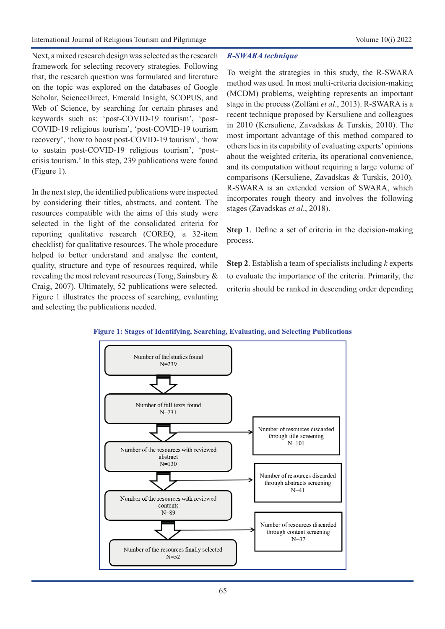Next, a mixed research design was selected as the research framework for selecting recovery strategies. Following that, the research question was formulated and literature on the topic was explored on the databases of Google Scholar, ScienceDirect, Emerald Insight, SCOPUS, and Web of Science, by searching for certain phrases and keywords such as: 'post-COVID-19 tourism', 'post-COVID-19 religious tourism', 'post-COVID-19 tourism recovery', 'how to boost post-COVID-19 tourism', 'how to sustain post-COVID-19 religious tourism', 'postcrisis tourism.' In this step, 239 publications were found (Figure 1).

In the next step, the identified publications were inspected by considering their titles, abstracts, and content. The resources compatible with the aims of this study were selected in the light of the consolidated criteria for reporting qualitative research (COREQ, a 32-item checklist) for qualitative resources. The whole procedure helped to better understand and analyse the content, quality, structure and type of resources required, while revealing the most relevant resources (Tong, Sainsbury & Craig, 2007). Ultimately, 52 publications were selected. Figure 1 illustrates the process of searching, evaluating and selecting the publications needed.

## *R-SWARA technique*

To weight the strategies in this study, the R-SWARA method was used. In most multi-criteria decision-making (MCDM) problems, weighting represents an important stage in the process (Zolfani *et al*., 2013). R-SWARA is a recent technique proposed by Kersuliene and colleagues in 2010 (Kersuliene, Zavadskas & Turskis, 2010). The most important advantage of this method compared to others lies in its capability of evaluating experts' opinions about the weighted criteria, its operational convenience, and its computation without requiring a large volume of comparisons (Kersuliene, Zavadskas & Turskis, 2010). R-SWARA is an extended version of SWARA, which incorporates rough theory and involves the following stages (Zavadskas *et al*., 2018).

**Step 1**. Define a set of criteria in the decision-making process.

**Step 2**. Establish a team of specialists including *k* experts to evaluate the importance of the criteria. Primarily, the criteria should be ranked in descending order depending



## **Figure 1: Stages of Identifying, Searching, Evaluating, and Selecting Publications**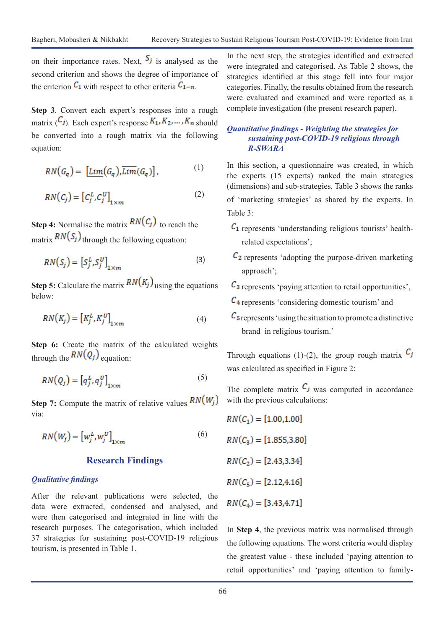on their importance rates. Next,  $S_j$  is analysed as the second criterion and shows the degree of importance of the criterion  $C_1$  with respect to other criteria  $C_{1-n}$ .

**Step 3**. Convert each expert's responses into a rough matrix  $(C_j)$ . Each expert's response  $K_1, K_2, \ldots, K_n$  should be converted into a rough matrix via the following equation:

$$
RN(G_q) = \left[ \underline{Lim}(G_q), \overline{Lim}(G_q) \right], \tag{1}
$$

$$
RN(C_j) = [C_j^L, C_j^U]_{1 \times m}
$$
 (2)

**Step 4:** Normalise the matrix  $RN(C_j)$  to reach the matrix  $RN(S_j)$  through the following equation:

$$
RN(S_j) = [S_j^L, S_j^U]_{1 \times m}
$$
 (3)

**Step 5:** Calculate the matrix  $RN(K_i)$  using the equations below:

$$
RN(K_j) = [K_j^L, K_j^U]_{1 \times m}
$$
 (4)

Step 6: Create the matrix of the calculated weights through the  $RN(Q_i)$  equation:

$$
RN(Q_j) = [q_j^L, q_j^U]_{1 \times m}
$$
 (5)

**Step 7:** Compute the matrix of relative values  $RN(W_j)$ via:

$$
RN(W_j) = [w_j^L, w_j^U]_{1 \times m}
$$
 (6)

#### **Research Findings**

#### *Qualitative findings*

After the relevant publications were selected, the data were extracted, condensed and analysed, and were then categorised and integrated in line with the research purposes. The categorisation, which included 37 strategies for sustaining post-COVID-19 religious tourism, is presented in Table 1.

In the next step, the strategies identified and extracted were integrated and categorised. As Table 2 shows, the strategies identified at this stage fell into four major categories. Finally, the results obtained from the research were evaluated and examined and were reported as a complete investigation (the present research paper).

#### *Quantitative findings - Weighting the strategies for sustaining post-COVID-19 religious through R-SWARA*

In this section, a questionnaire was created, in which the experts (15 experts) ranked the main strategies (dimensions) and sub-strategies. Table 3 shows the ranks of 'marketing strategies' as shared by the experts. In Table 3:

- $C_1$  represents 'understanding religious tourists' healthrelated expectations';
- $c<sub>2</sub>$  represents 'adopting the purpose-driven marketing approach';
- $c_3$  represents 'paying attention to retail opportunities',
- $C_4$  represents 'considering domestic tourism' and
- $c<sub>s</sub>$  represents 'using the situation to promote a distinctive brand in religious tourism.'

Through equations (1)-(2), the group rough matrix  $C_j$ was calculated as specified in Figure 2:

The complete matrix  $C_j$  was computed in accordance with the previous calculations:

$$
RN(C_1) = [1.00, 1.00]
$$
  
\n
$$
RN(C_3) = [1.855, 3.80]
$$
  
\n
$$
RN(C_2) = [2.43, 3.34]
$$
  
\n
$$
RN(C_5) = [2.12, 4.16]
$$
  
\n
$$
RN(C_4) = [3.43, 4.71]
$$

In **Step 4**, the previous matrix was normalised through the following equations. The worst criteria would display the greatest value - these included 'paying attention to retail opportunities' and 'paying attention to family-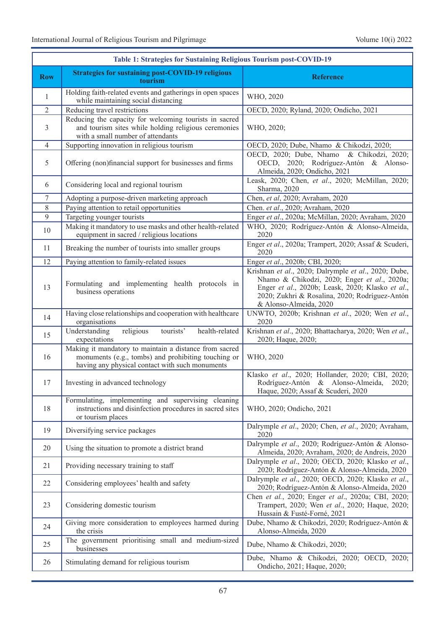|                | Table 1: Strategies for Sustaining Religious Tourism post-COVID-19                                                                                               |                                                                                                                                                                                                                                      |
|----------------|------------------------------------------------------------------------------------------------------------------------------------------------------------------|--------------------------------------------------------------------------------------------------------------------------------------------------------------------------------------------------------------------------------------|
| <b>Row</b>     | <b>Strategies for sustaining post-COVID-19 religious</b><br>tourism                                                                                              | <b>Reference</b>                                                                                                                                                                                                                     |
| 1              | Holding faith-related events and gatherings in open spaces<br>while maintaining social distancing                                                                | WHO, 2020                                                                                                                                                                                                                            |
| 2              | Reducing travel restrictions                                                                                                                                     | OECD, 2020; Ryland, 2020; Ondicho, 2021                                                                                                                                                                                              |
| 3              | Reducing the capacity for welcoming tourists in sacred<br>and tourism sites while holding religious ceremonies<br>with a small number of attendants              | WHO, 2020;                                                                                                                                                                                                                           |
| $\overline{4}$ | Supporting innovation in religious tourism                                                                                                                       | OECD, 2020; Dube, Nhamo & Chikodzi, 2020;                                                                                                                                                                                            |
| 5              | Offering (non)financial support for businesses and firms                                                                                                         | OECD, 2020; Dube, Nhamo & Chikodzi, 2020;<br>OECD, 2020; Rodríguez-Antón & Alonso-<br>Almeida, 2020; Ondicho, 2021                                                                                                                   |
| 6              | Considering local and regional tourism                                                                                                                           | Leask, 2020; Chen, et al., 2020; McMillan, 2020;<br>Sharma, 2020                                                                                                                                                                     |
| $\tau$         | Adopting a purpose-driven marketing approach                                                                                                                     | Chen, et al, 2020; Avraham, 2020                                                                                                                                                                                                     |
| 8              | Paying attention to retail opportunities                                                                                                                         | Chen. et al., 2020; Avraham, 2020                                                                                                                                                                                                    |
| 9              | Targeting younger tourists                                                                                                                                       | Enger et al., 2020a; McMillan, 2020; Avraham, 2020                                                                                                                                                                                   |
| 10             | Making it mandatory to use masks and other health-related<br>equipment in sacred / religious locations                                                           | WHO, 2020; Rodríguez-Antón & Alonso-Almeida,<br>2020                                                                                                                                                                                 |
| 11             | Breaking the number of tourists into smaller groups                                                                                                              | Enger et al., 2020a; Trampert, 2020; Assaf & Scuderi,<br>2020                                                                                                                                                                        |
| 12             | Paying attention to family-related issues                                                                                                                        | Enger et al., 2020b; CBI, 2020;                                                                                                                                                                                                      |
| 13             | Formulating and implementing health protocols in<br>business operations                                                                                          | Krishnan et al., 2020; Dalrymple et al., 2020; Dube,<br>Nhamo & Chikodzi, 2020; Enger et al., 2020a;<br>Enger et al., 2020b; Leask, 2020; Klasko et al.,<br>2020; Zukhri & Rosalina, 2020; Rodríguez-Antón<br>& Alonso-Almeida, 2020 |
| 14             | Having close relationships and cooperation with healthcare<br>organisations                                                                                      | UNWTO, 2020b; Krishnan et al., 2020; Wen et al.,<br>2020                                                                                                                                                                             |
| 15             | Understanding<br>religious<br>health-related<br>tourists'<br>expectations                                                                                        | Krishnan et al., 2020; Bhattacharya, 2020; Wen et al.,<br>2020; Haque, 2020;                                                                                                                                                         |
| 16             | Making it mandatory to maintain a distance from sacred<br>monuments (e.g., tombs) and prohibiting touching or<br>having any physical contact with such monuments | WHO, 2020                                                                                                                                                                                                                            |
| 17             | Investing in advanced technology                                                                                                                                 | Klasko et al., 2020; Hollander, 2020; CBI, 2020;<br>Rodríguez-Antón & Alonso-Almeida,<br>2020;<br>Haque, 2020; Assaf & Scuderi, 2020                                                                                                 |
| 18             | Formulating, implementing and supervising cleaning<br>instructions and disinfection procedures in sacred sites<br>or tourism places                              | WHO, 2020; Ondicho, 2021                                                                                                                                                                                                             |
| 19             | Diversifying service packages                                                                                                                                    | Dalrymple et al., 2020; Chen, et al., 2020; Avraham,<br>2020                                                                                                                                                                         |
| 20             | Using the situation to promote a district brand                                                                                                                  | Dalrymple et al., 2020; Rodríguez-Antón & Alonso-<br>Almeida, 2020; Avraham, 2020; de Andreis, 2020                                                                                                                                  |
| 21             | Providing necessary training to staff                                                                                                                            | Dalrymple et al., 2020; OECD, 2020; Klasko et al.,<br>2020; Rodríguez-Antón & Alonso-Almeida, 2020                                                                                                                                   |
| 22             | Considering employees' health and safety                                                                                                                         | Dalrymple et al., 2020; OECD, 2020; Klasko et al.,<br>2020; Rodríguez-Antón & Alonso-Almeida, 2020                                                                                                                                   |
| 23             | Considering domestic tourism                                                                                                                                     | Chen et al., 2020; Enger et al., 2020a; CBI, 2020;<br>Trampert, 2020; Wen et al., 2020; Haque, 2020;<br>Hussain & Fusté-Forné, 2021                                                                                                  |
| 24             | Giving more consideration to employees harmed during<br>the crisis                                                                                               | Dube, Nhamo & Chikodzi, 2020; Rodríguez-Antón &<br>Alonso-Almeida, 2020                                                                                                                                                              |
| 25             | The government prioritising small and medium-sized<br>businesses                                                                                                 | Dube, Nhamo & Chikodzi, 2020;                                                                                                                                                                                                        |
| 26             | Stimulating demand for religious tourism                                                                                                                         | Dube, Nhamo & Chikodzi, 2020; OECD, 2020;<br>Ondicho, 2021; Haque, 2020;                                                                                                                                                             |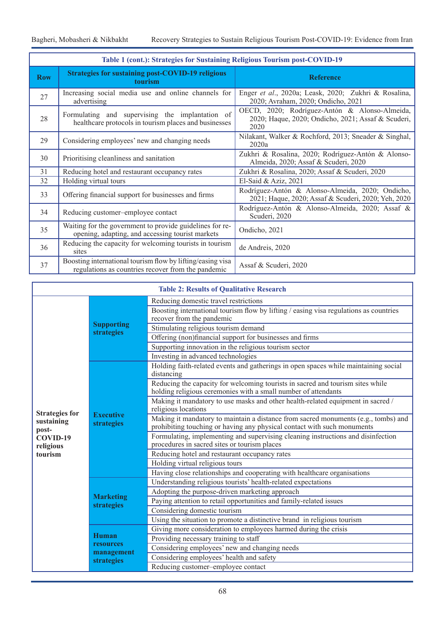| Table 1 (cont.): Strategies for Sustaining Religious Tourism post-COVID-19 |                                                                                                                  |                                                                                                             |  |  |  |  |  |  |  |  |
|----------------------------------------------------------------------------|------------------------------------------------------------------------------------------------------------------|-------------------------------------------------------------------------------------------------------------|--|--|--|--|--|--|--|--|
| <b>Row</b>                                                                 | <b>Strategies for sustaining post-COVID-19 religious</b><br>tourism                                              | <b>Reference</b>                                                                                            |  |  |  |  |  |  |  |  |
| 27                                                                         | Increasing social media use and online channels for<br>advertising                                               | Enger et al., 2020a; Leask, 2020; Zukhri & Rosalina,<br>2020; Avraham, 2020; Ondicho, 2021                  |  |  |  |  |  |  |  |  |
| 28                                                                         | Formulating and supervising the implantation of<br>healthcare protocols in tourism places and businesses         | OECD, 2020; Rodríguez-Antón & Alonso-Almeida,<br>2020; Haque, 2020; Ondicho, 2021; Assaf & Scuderi,<br>2020 |  |  |  |  |  |  |  |  |
| 29                                                                         | Considering employees' new and changing needs                                                                    | Nilakant, Walker & Rochford, 2013; Sneader & Singhal,<br>2020a                                              |  |  |  |  |  |  |  |  |
| 30                                                                         | Prioritising cleanliness and sanitation                                                                          | Zukhri & Rosalina, 2020; Rodríguez-Antón & Alonso-<br>Almeida, 2020; Assaf & Scuderi, 2020                  |  |  |  |  |  |  |  |  |
| 31                                                                         | Reducing hotel and restaurant occupancy rates                                                                    | Zukhri & Rosalina, 2020; Assaf & Scuderi, 2020                                                              |  |  |  |  |  |  |  |  |
| 32                                                                         | Holding virtual tours                                                                                            | El-Said & Aziz, 2021                                                                                        |  |  |  |  |  |  |  |  |
| 33                                                                         | Offering financial support for businesses and firms                                                              | Rodríguez-Antón & Alonso-Almeida, 2020; Ondicho,<br>2021; Haque, 2020; Assaf & Scuderi, 2020; Yeh, 2020     |  |  |  |  |  |  |  |  |
| 34                                                                         | Reducing customer-employee contact                                                                               | Rodríguez-Antón & Alonso-Almeida, 2020; Assaf &<br>Scuderi, 2020                                            |  |  |  |  |  |  |  |  |
| 35                                                                         | Waiting for the government to provide guidelines for re-<br>opening, adapting, and accessing tourist markets     | Ondicho, 2021                                                                                               |  |  |  |  |  |  |  |  |
| 36                                                                         | Reducing the capacity for welcoming tourists in tourism<br>sites                                                 | de Andreis, 2020                                                                                            |  |  |  |  |  |  |  |  |
| 37                                                                         | Boosting international tourism flow by lifting/easing visa<br>regulations as countries recover from the pandemic | Assaf & Scuderi, 2020                                                                                       |  |  |  |  |  |  |  |  |

|                       |                                 | <b>Table 2: Results of Qualitative Research</b>                                                                                                               |  |  |  |  |
|-----------------------|---------------------------------|---------------------------------------------------------------------------------------------------------------------------------------------------------------|--|--|--|--|
|                       |                                 | Reducing domestic travel restrictions                                                                                                                         |  |  |  |  |
|                       | <b>Supporting</b><br>strategies | Boosting international tourism flow by lifting / easing visa regulations as countries<br>recover from the pandemic                                            |  |  |  |  |
|                       |                                 | Stimulating religious tourism demand                                                                                                                          |  |  |  |  |
|                       |                                 | Offering (non)financial support for businesses and firms                                                                                                      |  |  |  |  |
|                       |                                 | Supporting innovation in the religious tourism sector                                                                                                         |  |  |  |  |
|                       |                                 | Investing in advanced technologies                                                                                                                            |  |  |  |  |
|                       |                                 | Holding faith-related events and gatherings in open spaces while maintaining social<br>distancing                                                             |  |  |  |  |
|                       |                                 | Reducing the capacity for welcoming tourists in sacred and tourism sites while<br>holding religious ceremonies with a small number of attendants              |  |  |  |  |
| <b>Strategies for</b> |                                 | Making it mandatory to use masks and other health-related equipment in sacred /<br>religious locations                                                        |  |  |  |  |
| sustaining<br>post-   | <b>Executive</b><br>strategies  | Making it mandatory to maintain a distance from sacred monuments (e.g., tombs) and<br>prohibiting touching or having any physical contact with such monuments |  |  |  |  |
| COVID-19<br>religious |                                 | Formulating, implementing and supervising cleaning instructions and disinfection<br>procedures in sacred sites or tourism places                              |  |  |  |  |
| tourism               |                                 | Reducing hotel and restaurant occupancy rates                                                                                                                 |  |  |  |  |
|                       |                                 | Holding virtual religious tours                                                                                                                               |  |  |  |  |
|                       |                                 | Having close relationships and cooperating with healthcare organisations                                                                                      |  |  |  |  |
|                       |                                 | Understanding religious tourists' health-related expectations                                                                                                 |  |  |  |  |
|                       | <b>Marketing</b>                | Adopting the purpose-driven marketing approach                                                                                                                |  |  |  |  |
|                       | <b>strategies</b>               | Paying attention to retail opportunities and family-related issues                                                                                            |  |  |  |  |
|                       |                                 | Considering domestic tourism                                                                                                                                  |  |  |  |  |
|                       |                                 | Using the situation to promote a distinctive brand in religious tourism                                                                                       |  |  |  |  |
|                       | <b>Human</b>                    | Giving more consideration to employees harmed during the crisis                                                                                               |  |  |  |  |
|                       | resources                       | Providing necessary training to staff                                                                                                                         |  |  |  |  |
|                       | management                      | Considering employees' new and changing needs                                                                                                                 |  |  |  |  |
|                       | strategies                      | Considering employees' health and safety                                                                                                                      |  |  |  |  |
|                       |                                 | Reducing customer-employee contact                                                                                                                            |  |  |  |  |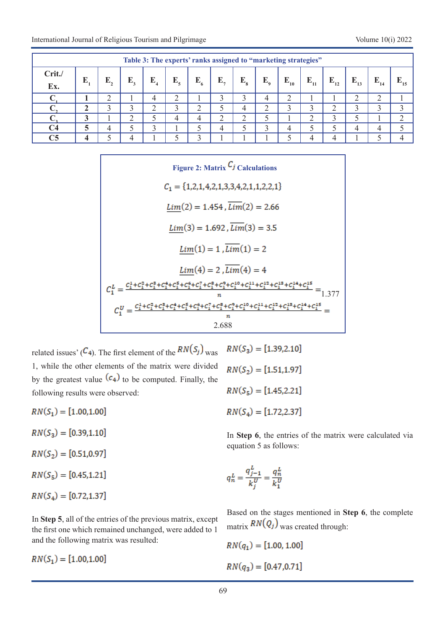| Table 3: The experts' ranks assigned to "marketing strategies" |   |    |             |             |                                    |         |    |                        |                |          |          |          |                      |          |          |
|----------------------------------------------------------------|---|----|-------------|-------------|------------------------------------|---------|----|------------------------|----------------|----------|----------|----------|----------------------|----------|----------|
| Crit./<br>Ex.                                                  | E | E, | E,          | ${\bf E}_4$ | $E_{\epsilon}$                     | $E_{6}$ | E, | $\mathbf{E}_{\bullet}$ | $E_{o}$        | $E_{10}$ | $E_{11}$ | $E_{12}$ | $E_{13}$             | $E_{14}$ | $E_{15}$ |
|                                                                |   |    |             | 4           | ◠<br>∠                             |         |    | 3                      | $\overline{4}$ | ◠        |          |          | ⌒                    | ∠        |          |
|                                                                |   |    | $\mathbf 3$ | ◠           | ◠<br>$\overline{\phantom{a}}$<br>ر |         |    | 4                      | ◠              |          |          |          | $\blacktriangleleft$ |          |          |
|                                                                |   |    |             |             | 4                                  |         |    | ◠                      |                |          |          |          |                      |          |          |
| $\mathsf{C}4$                                                  |   |    |             | ◠           |                                    |         | 4  |                        |                | 4        |          |          | 4                    | 4        |          |
| C5                                                             |   |    | Δ           |             |                                    |         |    |                        |                |          |          |          |                      |          |          |

**Figure 2: Matrix**  $C_j$  **Calculations**  $C_1 = \{1,2,1,4,2,1,3,3,4,2,1,1,2,2,1\}$  $Lim(2) = 1.454$ ,  $\overline{Lim}(2) = 2.66$  $Lim(3) = 1.692$ ,  $\overline{Lim}(3) = 3.5$  $Lim(1) = 1, \overline{Lim}(1) = 2$  $Lim(4) = 2$ ,  $\overline{Lim}(4) = 4$ 1.377 2.688

related issues' ( $C_4$ ). The first element of the  $RN(S_j)$ <sub>Was</sub> 1, while the other elements of the matrix were divided by the greatest value  $(c_4)$  to be computed. Finally, the following results were observed:

 $RN(S_1) = [1.00, 1.00]$ 

 $RN(S_3) = [0.39, 1.10]$ 

 $RN(S_2) = [0.51, 0.97]$ 

 $RN(S_5) = [0.45, 1.21]$ 

$$
RN(S_4) = [0.72, 1.37]
$$

In **Step 5**, all of the entries of the previous matrix, except the first one which remained unchanged, were added to 1 and the following matrix was resulted:

 $RN(S_1) = [1.00, 1.00]$ 

 $RN(S_3) = [1.39, 2.10]$  $RN(S_2) = [1.51, 1.97]$  $RN(S_5) = [1.45, 2.21]$  $RN(S_4) = [1.72, 2.37]$ 

In **Step 6**, the entries of the matrix were calculated via equation 5 as follows:

$$
q_n^L = \frac{q_{j-1}^L}{k_j^U} = \frac{q_n^L}{k_1^U}
$$

Based on the stages mentioned in **Step 6**, the complete matrix  $RN(Q_i)$  was created through:

$$
RN(q_1) = [1.00, 1.00]
$$
  

$$
RN(q_3) = [0.47, 0.71]
$$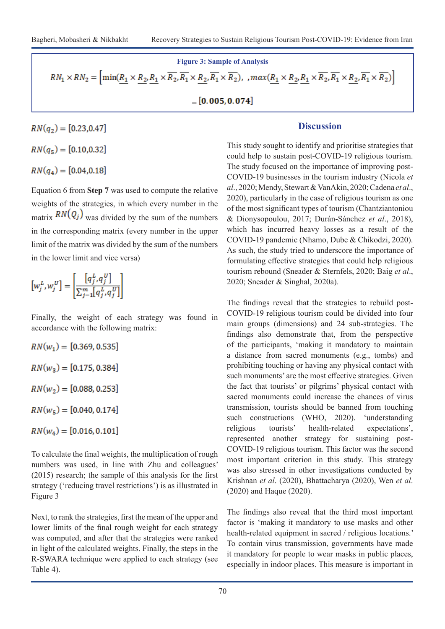Figure 3: Sample of Analysis  
\n
$$
RN_1 \times RN_2 = \left[ \min(\underline{R_1} \times \underline{R_2}, \underline{R_1} \times \overline{R_2}, \overline{R_1} \times \underline{R_2}, \overline{R_1} \times \overline{R_2}), \, \, \max(\underline{R_1} \times \underline{R_2}, \underline{R_1} \times \overline{R_2}, \overline{R_1} \times \underline{R_2}, \overline{R_1} \times \overline{R_2}) \right]
$$

 $=[0.005, 0.074]$ 

# $RN(q_2) = [0.23, 0.47]$

 $RN(q_5) = [0.10, 0.32]$ 

 $RN(q_4) = [0.04, 0.18]$ 

Equation 6 from **Step 7** was used to compute the relative weights of the strategies, in which every number in the matrix  $RN(Q_i)$  was divided by the sum of the numbers in the corresponding matrix (every number in the upper limit of the matrix was divided by the sum of the numbers in the lower limit and vice versa)

$$
[w_j^L, w_j^U] = \left[\frac{[q_j^L, q_j^U]}{\sum_{j=1}^m [q_j^L, q_j^U]}\right]
$$

Finally, the weight of each strategy was found in accordance with the following matrix:

 $RN(w_1) = [0.369, 0.535]$  $RN(w_3) = [0.175, 0.384]$  $RN(w_2) = [0.088, 0.253]$  $RN(w_5) = [0.040, 0.174]$  $RN(w_4) = [0.016, 0.101]$ 

To calculate the final weights, the multiplication of rough numbers was used, in line with Zhu and colleagues' (2015) research; the sample of this analysis for the first strategy ('reducing travel restrictions') is as illustrated in Figure 3

Next, to rank the strategies, first the mean of the upper and lower limits of the final rough weight for each strategy was computed, and after that the strategies were ranked in light of the calculated weights. Finally, the steps in the R-SWARA technique were applied to each strategy (see Table 4).

## **Discussion**

This study sought to identify and prioritise strategies that could help to sustain post-COVID-19 religious tourism. The study focused on the importance of improving post-COVID-19 businesses in the tourism industry (Nicola *et al*., 2020; Mendy, Stewart & VanAkin, 2020; Cadena *et al*., 2020), particularly in the case of religious tourism as one of the most significant types of tourism (Chantziantoniou & Dionysopoulou, 2017; Durán-Sánchez *et al*., 2018), which has incurred heavy losses as a result of the COVID-19 pandemic (Nhamo, Dube & Chikodzi, 2020). As such, the study tried to underscore the importance of formulating effective strategies that could help religious tourism rebound (Sneader & Sternfels, 2020; Baig *et al*., 2020; Sneader & Singhal, 2020a).

The findings reveal that the strategies to rebuild post-COVID-19 religious tourism could be divided into four main groups (dimensions) and 24 sub-strategies. The findings also demonstrate that, from the perspective of the participants, 'making it mandatory to maintain a distance from sacred monuments (e.g., tombs) and prohibiting touching or having any physical contact with such monuments' are the most effective strategies. Given the fact that tourists' or pilgrims' physical contact with sacred monuments could increase the chances of virus transmission, tourists should be banned from touching such constructions (WHO, 2020). 'understanding religious tourists' health-related expectations', represented another strategy for sustaining post-COVID-19 religious tourism. This factor was the second most important criterion in this study. This strategy was also stressed in other investigations conducted by Krishnan *et al*. (2020), Bhattacharya (2020), Wen *et al*. (2020) and Haque (2020).

The findings also reveal that the third most important factor is 'making it mandatory to use masks and other health-related equipment in sacred / religious locations.' To contain virus transmission, governments have made it mandatory for people to wear masks in public places, especially in indoor places. This measure is important in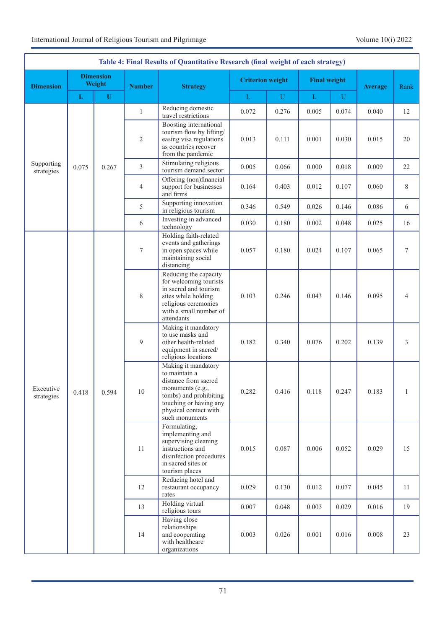| Table 4: Final Results of Quantitative Research (final weight of each strategy) |             |                            |                |                                                                                                                                                                 |                                                                                                                                                 |              |                                                                                      |             |                |                                                                                                                                                                                 |       |       |       |       |       |
|---------------------------------------------------------------------------------|-------------|----------------------------|----------------|-----------------------------------------------------------------------------------------------------------------------------------------------------------------|-------------------------------------------------------------------------------------------------------------------------------------------------|--------------|--------------------------------------------------------------------------------------|-------------|----------------|---------------------------------------------------------------------------------------------------------------------------------------------------------------------------------|-------|-------|-------|-------|-------|
| <b>Dimension</b>                                                                |             | <b>Dimension</b><br>Weight | <b>Number</b>  | <b>Strategy</b>                                                                                                                                                 | <b>Criterion weight</b>                                                                                                                         |              | <b>Final weight</b>                                                                  |             | <b>Average</b> | Rank                                                                                                                                                                            |       |       |       |       |       |
|                                                                                 | $\mathbf L$ | $\mathbf{U}$               |                |                                                                                                                                                                 | $\mathbf{L}$                                                                                                                                    | $\mathbf{U}$ | L                                                                                    | $\mathbf U$ |                |                                                                                                                                                                                 |       |       |       |       |       |
|                                                                                 |             |                            | $\mathbf{1}$   | Reducing domestic<br>travel restrictions                                                                                                                        | 0.072                                                                                                                                           | 0.276        | 0.005                                                                                | 0.074       | 0.040          | 12                                                                                                                                                                              |       |       |       |       |       |
|                                                                                 | 0.075       |                            | $\overline{2}$ | Boosting international<br>tourism flow by lifting/<br>easing visa regulations<br>as countries recover<br>from the pandemic                                      | 0.013                                                                                                                                           | 0.111        | 0.001                                                                                | 0.030       | 0.015          | 20                                                                                                                                                                              |       |       |       |       |       |
| Supporting<br>strategies                                                        |             | 0.267                      | $\overline{3}$ | Stimulating religious<br>tourism demand sector                                                                                                                  | 0.005                                                                                                                                           | 0.066        | 0.000                                                                                | 0.018       | 0.009          | 22                                                                                                                                                                              |       |       |       |       |       |
|                                                                                 |             |                            | 4              | Offering (non)financial<br>support for businesses<br>and firms                                                                                                  | 0.164                                                                                                                                           | 0.403        | 0.012                                                                                | 0.107       | 0.060          | 8                                                                                                                                                                               |       |       |       |       |       |
| Executive<br>strategies                                                         |             |                            | 5              | Supporting innovation<br>in religious tourism                                                                                                                   | 0.346                                                                                                                                           | 0.549        | 0.026                                                                                | 0.146       | 0.086          | 6                                                                                                                                                                               |       |       |       |       |       |
|                                                                                 |             |                            | 6              | Investing in advanced<br>technology                                                                                                                             | 0.030                                                                                                                                           | 0.180        | 0.002                                                                                | 0.048       | 0.025          | 16                                                                                                                                                                              |       |       |       |       |       |
|                                                                                 | 0.418       | 0.594                      | $\tau$         | Holding faith-related<br>events and gatherings<br>in open spaces while<br>maintaining social<br>distancing                                                      | 0.057                                                                                                                                           | 0.180        | 0.024                                                                                | 0.107       | 0.065          | 7                                                                                                                                                                               |       |       |       |       |       |
|                                                                                 |             |                            | $\,$ 8 $\,$    | Reducing the capacity<br>for welcoming tourists<br>in sacred and tourism<br>sites while holding<br>religious ceremonies<br>with a small number of<br>attendants | 0.103                                                                                                                                           | 0.246        | 0.043                                                                                | 0.146       | 0.095          | 4                                                                                                                                                                               |       |       |       |       |       |
|                                                                                 |             |                            |                | 9                                                                                                                                                               | Making it mandatory<br>to use masks and<br>other health-related<br>equipment in sacred/<br>religious locations                                  | 0.182        | 0.340                                                                                | 0.076       | 0.202          | 0.139                                                                                                                                                                           | 3     |       |       |       |       |
|                                                                                 |             |                            |                |                                                                                                                                                                 |                                                                                                                                                 |              |                                                                                      |             | 10             | Making it mandatory<br>to maintain a<br>distance from sacred<br>monuments (e.g.,<br>tombs) and prohibiting<br>touching or having any<br>physical contact with<br>such monuments | 0.282 | 0.416 | 0.118 | 0.247 | 0.183 |
|                                                                                 |             |                            |                | 11                                                                                                                                                              | Formulating,<br>implementing and<br>supervising cleaning<br>instructions and<br>disinfection procedures<br>in sacred sites or<br>tourism places | 0.015        | 0.087                                                                                | 0.006       | 0.052          | 0.029                                                                                                                                                                           | 15    |       |       |       |       |
|                                                                                 |             |                            | 12             | Reducing hotel and<br>restaurant occupancy<br>rates                                                                                                             | 0.029                                                                                                                                           | 0.130        | 0.012                                                                                | 0.077       | 0.045          | 11                                                                                                                                                                              |       |       |       |       |       |
|                                                                                 |             |                            | 13             | Holding virtual<br>religious tours                                                                                                                              | 0.007                                                                                                                                           | 0.048        | 0.003                                                                                | 0.029       | 0.016          | 19                                                                                                                                                                              |       |       |       |       |       |
|                                                                                 |             |                            |                |                                                                                                                                                                 |                                                                                                                                                 | 14           | Having close<br>relationships<br>and cooperating<br>with healthcare<br>organizations | 0.003       | 0.026          | 0.001                                                                                                                                                                           | 0.016 | 0.008 | 23    |       |       |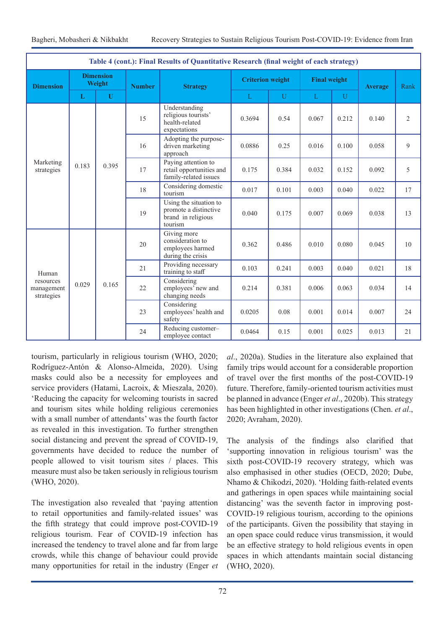| Table 4 (cont.): Final Results of Quantitative Research (final weight of each strategy) |                            |              |               |                                                                          |                                                                                  |              |                     |              |                |       |    |  |  |  |    |                                          |                                        |        |       |       |       |       |
|-----------------------------------------------------------------------------------------|----------------------------|--------------|---------------|--------------------------------------------------------------------------|----------------------------------------------------------------------------------|--------------|---------------------|--------------|----------------|-------|----|--|--|--|----|------------------------------------------|----------------------------------------|--------|-------|-------|-------|-------|
| <b>Dimension</b>                                                                        | <b>Dimension</b><br>Weight |              | <b>Number</b> | <b>Strategy</b>                                                          | <b>Criterion weight</b>                                                          |              | <b>Final weight</b> |              | <b>Average</b> | Rank  |    |  |  |  |    |                                          |                                        |        |       |       |       |       |
|                                                                                         | L                          | $\mathbf{U}$ |               |                                                                          | L                                                                                | $\mathbf{U}$ | $\mathbf{L}$        | $\mathbf{U}$ |                |       |    |  |  |  |    |                                          |                                        |        |       |       |       |       |
|                                                                                         |                            | 0.395        | 15            | Understanding<br>religious tourists'<br>health-related<br>expectations   | 0.3694                                                                           | 0.54         | 0.067               | 0.212        | 0.140          | 2     |    |  |  |  |    |                                          |                                        |        |       |       |       |       |
|                                                                                         |                            |              | 16            | Adopting the purpose-<br>driven marketing<br>approach                    | 0.0886                                                                           | 0.25         | 0.016               | 0.100        | 0.058          | 9     |    |  |  |  |    |                                          |                                        |        |       |       |       |       |
| Marketing<br>strategies                                                                 | 0.183                      |              | 17            | Paying attention to<br>retail opportunities and<br>family-related issues | 0.175                                                                            | 0.384        | 0.032               | 0.152        | 0.092          | 5     |    |  |  |  |    |                                          |                                        |        |       |       |       |       |
|                                                                                         |                            |              | 18            | Considering domestic<br>tourism                                          | 0.017                                                                            | 0.101        | 0.003               | 0.040        | 0.022          | 17    |    |  |  |  |    |                                          |                                        |        |       |       |       |       |
|                                                                                         |                            |              |               | 19                                                                       | Using the situation to<br>promote a distinctive<br>brand in religious<br>tourism | 0.040        | 0.175               | 0.007        | 0.069          | 0.038 | 13 |  |  |  |    |                                          |                                        |        |       |       |       |       |
|                                                                                         |                            |              | 20            | Giving more<br>consideration to<br>employees harmed<br>during the crisis | 0.362                                                                            | 0.486        | 0.010               | 0.080        | 0.045          | 10    |    |  |  |  |    |                                          |                                        |        |       |       |       |       |
| Human                                                                                   |                            |              |               |                                                                          |                                                                                  |              |                     |              |                |       |    |  |  |  | 21 | Providing necessary<br>training to staff | 0.103                                  | 0.241  | 0.003 | 0.040 | 0.021 | 18    |
| resources<br>management<br>strategies                                                   | 0.029                      | 0.165        | 22            | Considering<br>employees' new and<br>changing needs                      | 0.214                                                                            | 0.381        | 0.006               | 0.063        | 0.034          | 14    |    |  |  |  |    |                                          |                                        |        |       |       |       |       |
|                                                                                         |                            |              | 23            | Considering<br>employees' health and<br>safety                           | 0.0205                                                                           | 0.08         | 0.001               | 0.014        | 0.007          | 24    |    |  |  |  |    |                                          |                                        |        |       |       |       |       |
|                                                                                         |                            |              |               |                                                                          |                                                                                  |              |                     |              |                |       |    |  |  |  |    | 24                                       | Reducing customer-<br>employee contact | 0.0464 | 0.15  | 0.001 | 0.025 | 0.013 |

tourism, particularly in religious tourism (WHO, 2020; Rodríguez-Antón & Alonso-Almeida, 2020). Using masks could also be a necessity for employees and service providers (Hatami, Lacroix, & Mieszala, 2020). 'Reducing the capacity for welcoming tourists in sacred and tourism sites while holding religious ceremonies with a small number of attendants' was the fourth factor as revealed in this investigation. To further strengthen social distancing and prevent the spread of COVID-19, governments have decided to reduce the number of people allowed to visit tourism sites / places. This measure must also be taken seriously in religious tourism (WHO, 2020).

The investigation also revealed that 'paying attention to retail opportunities and family-related issues' was the fifth strategy that could improve post-COVID-19 religious tourism. Fear of COVID-19 infection has increased the tendency to travel alone and far from large crowds, while this change of behaviour could provide many opportunities for retail in the industry (Enger *et* 

*al*., 2020a). Studies in the literature also explained that family trips would account for a considerable proportion of travel over the first months of the post-COVID-19 future. Therefore, family-oriented tourism activities must be planned in advance (Enger *et al*., 2020b). This strategy has been highlighted in other investigations (Chen. *et al*., 2020; Avraham, 2020).

The analysis of the findings also clarified that 'supporting innovation in religious tourism' was the sixth post-COVID-19 recovery strategy, which was also emphasised in other studies (OECD, 2020; Dube, Nhamo & Chikodzi, 2020). 'Holding faith-related events and gatherings in open spaces while maintaining social distancing' was the seventh factor in improving post-COVID-19 religious tourism, according to the opinions of the participants. Given the possibility that staying in an open space could reduce virus transmission, it would be an effective strategy to hold religious events in open spaces in which attendants maintain social distancing (WHO, 2020).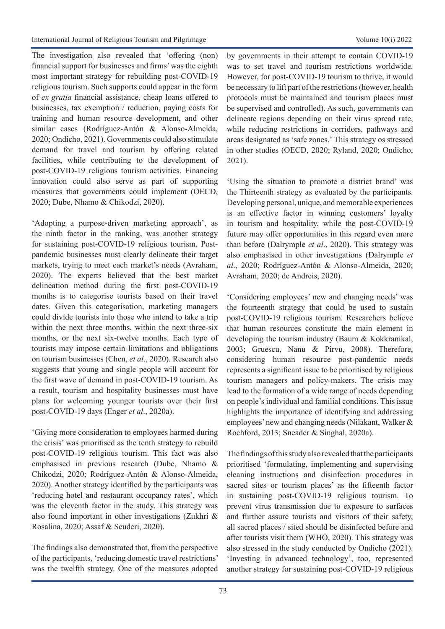The investigation also revealed that 'offering (non) financial support for businesses and firms' was the eighth most important strategy for rebuilding post-COVID-19 religious tourism. Such supports could appear in the form of *ex gratia* financial assistance, cheap loans offered to businesses, tax exemption / reduction, paying costs for training and human resource development, and other similar cases (Rodríguez-Antón & Alonso-Almeida, 2020; Ondicho, 2021). Governments could also stimulate demand for travel and tourism by offering related facilities, while contributing to the development of post-COVID-19 religious tourism activities. Financing innovation could also serve as part of supporting measures that governments could implement (OECD, 2020; Dube, Nhamo & Chikodzi, 2020).

'Adopting a purpose-driven marketing approach', as the ninth factor in the ranking, was another strategy for sustaining post-COVID-19 religious tourism. Postpandemic businesses must clearly delineate their target markets, trying to meet each market's needs (Avraham, 2020). The experts believed that the best market delineation method during the first post-COVID-19 months is to categorise tourists based on their travel dates. Given this categorisation, marketing managers could divide tourists into those who intend to take a trip within the next three months, within the next three-six months, or the next six-twelve months. Each type of tourists may impose certain limitations and obligations on tourism businesses (Chen, *et al*., 2020). Research also suggests that young and single people will account for the first wave of demand in post-COVID-19 tourism. As a result, tourism and hospitality businesses must have plans for welcoming younger tourists over their first post-COVID-19 days (Enger *et al*., 2020a).

'Giving more consideration to employees harmed during the crisis' was prioritised as the tenth strategy to rebuild post-COVID-19 religious tourism. This fact was also emphasised in previous research (Dube, Nhamo & Chikodzi, 2020; Rodríguez-Antón & Alonso-Almeida, 2020). Another strategy identified by the participants was 'reducing hotel and restaurant occupancy rates', which was the eleventh factor in the study. This strategy was also found important in other investigations (Zukhri & Rosalina, 2020; Assaf & Scuderi, 2020).

The findings also demonstrated that, from the perspective of the participants, 'reducing domestic travel restrictions' was the twelfth strategy. One of the measures adopted by governments in their attempt to contain COVID-19 was to set travel and tourism restrictions worldwide. However, for post-COVID-19 tourism to thrive, it would be necessary to lift part of the restrictions (however, health protocols must be maintained and tourism places must be supervised and controlled). As such, governments can delineate regions depending on their virus spread rate, while reducing restrictions in corridors, pathways and areas designated as 'safe zones.' This strategy os stressed in other studies (OECD, 2020; Ryland, 2020; Ondicho, 2021).

'Using the situation to promote a district brand' was the Thirteenth strategy as evaluated by the participants. Developing personal, unique, and memorable experiences is an effective factor in winning customers' loyalty in tourism and hospitality, while the post-COVID-19 future may offer opportunities in this regard even more than before (Dalrymple *et al*., 2020). This strategy was also emphasised in other investigations (Dalrymple *et al*., 2020; Rodríguez-Antón & Alonso-Almeida, 2020; Avraham, 2020; de Andreis, 2020).

'Considering employees' new and changing needs' was the fourteenth strategy that could be used to sustain post-COVID-19 religious tourism. Researchers believe that human resources constitute the main element in developing the tourism industry (Baum & Kokkranikal, 2003; Gruescu, Nanu & Pirvu, 2008). Therefore, considering human resource post-pandemic needs represents a significant issue to be prioritised by religious tourism managers and policy-makers. The crisis may lead to the formation of a wide range of needs depending on people's individual and familial conditions. This issue highlights the importance of identifying and addressing employees' new and changing needs (Nilakant, Walker & Rochford, 2013; Sneader & Singhal, 2020a).

The findings of this study also revealed that the participants prioritised 'formulating, implementing and supervising cleaning instructions and disinfection procedures in sacred sites or tourism places' as the fifteenth factor in sustaining post-COVID-19 religious tourism. To prevent virus transmission due to exposure to surfaces and further assure tourists and visitors of their safety, all sacred places / sited should be disinfected before and after tourists visit them (WHO, 2020). This strategy was also stressed in the study conducted by Ondicho (2021). 'Investing in advanced technology', too, represented another strategy for sustaining post-COVID-19 religious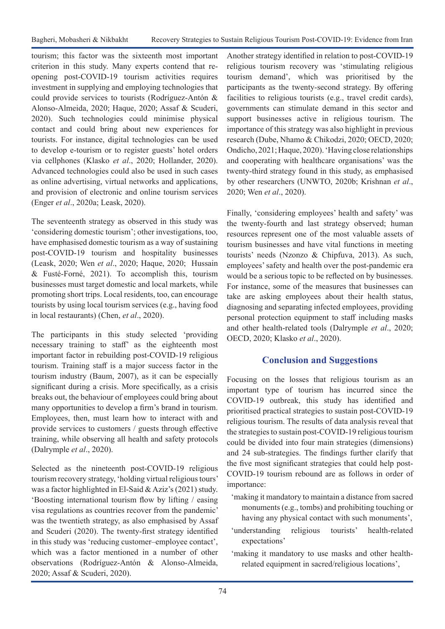tourism; this factor was the sixteenth most important criterion in this study. Many experts contend that reopening post-COVID-19 tourism activities requires investment in supplying and employing technologies that could provide services to tourists (Rodríguez-Antón & Alonso-Almeida, 2020; Haque, 2020; Assaf & Scuderi, 2020). Such technologies could minimise physical contact and could bring about new experiences for tourists. For instance, digital technologies can be used to develop e-tourism or to register guests' hotel orders via cellphones (Klasko *et al*., 2020; Hollander, 2020). Advanced technologies could also be used in such cases as online advertising, virtual networks and applications, and provision of electronic and online tourism services (Enger *et al*., 2020a; Leask, 2020).

The seventeenth strategy as observed in this study was 'considering domestic tourism'; other investigations, too, have emphasised domestic tourism as a way of sustaining post-COVID-19 tourism and hospitality businesses (Leask, 2020; Wen *et al*., 2020; Haque, 2020; Hussain & Fusté-Forné, 2021). To accomplish this, tourism businesses must target domestic and local markets, while promoting short trips. Local residents, too, can encourage tourists by using local tourism services (e.g., having food in local restaurants) (Chen, *et al*., 2020).

The participants in this study selected 'providing necessary training to staff' as the eighteenth most important factor in rebuilding post-COVID-19 religious tourism. Training staff is a major success factor in the tourism industry (Baum, 2007), as it can be especially significant during a crisis. More specifically, as a crisis breaks out, the behaviour of employees could bring about many opportunities to develop a firm's brand in tourism. Employees, then, must learn how to interact with and provide services to customers / guests through effective training, while observing all health and safety protocols (Dalrymple *et al*., 2020).

Selected as the nineteenth post-COVID-19 religious tourism recovery strategy, 'holding virtual religious tours' was a factor highlighted in El-Said & Aziz's (2021) study. 'Boosting international tourism flow by lifting / easing visa regulations as countries recover from the pandemic' was the twentieth strategy, as also emphasised by Assaf and Scuderi (2020). The twenty-first strategy identified in this study was 'reducing customer–employee contact', which was a factor mentioned in a number of other observations (Rodríguez-Antón & Alonso-Almeida, 2020; Assaf & Scuderi, 2020).

Another strategy identified in relation to post-COVID-19 religious tourism recovery was 'stimulating religious tourism demand', which was prioritised by the participants as the twenty-second strategy. By offering facilities to religious tourists (e.g., travel credit cards), governments can stimulate demand in this sector and support businesses active in religious tourism. The importance of this strategy was also highlight in previous research (Dube, Nhamo & Chikodzi, 2020; OECD, 2020; Ondicho, 2021; Haque, 2020). 'Having close relationships and cooperating with healthcare organisations' was the twenty-third strategy found in this study, as emphasised by other researchers (UNWTO, 2020b; Krishnan *et al*., 2020; Wen *et al*., 2020).

Finally, 'considering employees' health and safety' was the twenty-fourth and last strategy observed; human resources represent one of the most valuable assets of tourism businesses and have vital functions in meeting tourists' needs (Nzonzo & Chipfuva, 2013). As such, employees' safety and health over the post-pandemic era would be a serious topic to be reflected on by businesses. For instance, some of the measures that businesses can take are asking employees about their health status, diagnosing and separating infected employees, providing personal protection equipment to staff including masks and other health-related tools (Dalrymple *et al*., 2020; OECD, 2020; Klasko *et al*., 2020).

## **Conclusion and Suggestions**

Focusing on the losses that religious tourism as an important type of tourism has incurred since the COVID-19 outbreak, this study has identified and prioritised practical strategies to sustain post-COVID-19 religious tourism. The results of data analysis reveal that the strategies to sustain post-COVID-19 religious tourism could be divided into four main strategies (dimensions) and 24 sub-strategies. The findings further clarify that the five most significant strategies that could help post-COVID-19 tourism rebound are as follows in order of importance:

- 'making it mandatory to maintain a distance from sacred monuments (e.g., tombs) and prohibiting touching or having any physical contact with such monuments',
- 'understanding religious tourists' health-related expectations'
- 'making it mandatory to use masks and other healthrelated equipment in sacred/religious locations',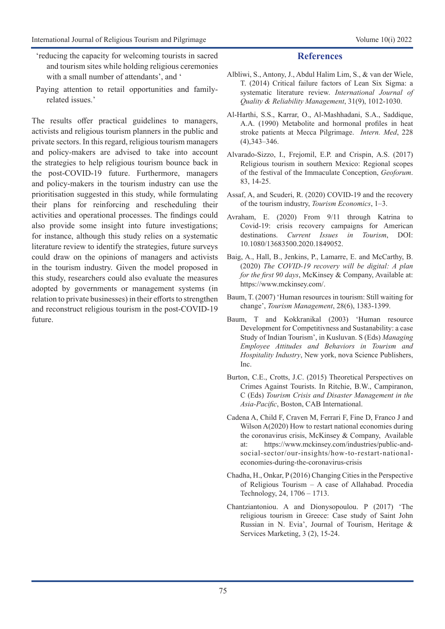- 'reducing the capacity for welcoming tourists in sacred and tourism sites while holding religious ceremonies with a small number of attendants', and '
- Paying attention to retail opportunities and familyrelated issues.'

The results offer practical guidelines to managers, activists and religious tourism planners in the public and private sectors. In this regard, religious tourism managers and policy-makers are advised to take into account the strategies to help religious tourism bounce back in the post-COVID-19 future. Furthermore, managers and policy-makers in the tourism industry can use the prioritisation suggested in this study, while formulating their plans for reinforcing and rescheduling their activities and operational processes. The findings could also provide some insight into future investigations; for instance, although this study relies on a systematic literature review to identify the strategies, future surveys could draw on the opinions of managers and activists in the tourism industry. Given the model proposed in this study, researchers could also evaluate the measures adopted by governments or management systems (in relation to private businesses) in their efforts to strengthen and reconstruct religious tourism in the post-COVID-19 future.

#### **References**

- Albliwi, S., Antony, J., Abdul Halim Lim, S., & van der Wiele, T. (2014) Critical failure factors of Lean Six Sigma: a systematic literature review. *International Journal of Quality & Reliability Management*, 31(9), 1012-1030.
- Al-Harthi, S.S., Karrar, O., Al-Mashhadani, S.A., Saddique, A.A. (1990) Metabolite and hormonal profiles in heat stroke patients at Mecca Pilgrimage. *Intern. Med*, 228 (4),343–346.
- Alvarado-Sizzo, I., Frejomil, E.P. and Crispin, A.S. (2017) Religious tourism in southern Mexico: Regional scopes of the festival of the Immaculate Conception, *Geoforum*. 83, 14-25.
- Assaf, A, and Scuderi, R. (2020) COVID-19 and the recovery of the tourism industry, *Tourism Economics*, 1–3.
- Avraham, E. (2020) From 9/11 through Katrina to Covid-19: crisis recovery campaigns for American destinations. *Current Issues in Tourism*, DOI: 10.1080/13683500.2020.1849052.
- Baig, A., Hall, B., Jenkins, P., Lamarre, E. and McCarthy, B. (2020) *The COVID-19 recovery will be digital: A plan for the first 90 days*, McKinsey & Company, Available at: https://www.mckinsey.com/.
- Baum, T. (2007) 'Human resources in tourism: Still waiting for change', *Tourism Management*, 28(6), 1383-1399.
- Baum, T and Kokkranikal (2003) 'Human resource Development for Competitivness and Sustanability: a case Study of Indian Tourism', in Kusluvan. S (Eds) *Managing Employee Attitudes and Behaviors in Tourism and Hospitality Industry*, New york, nova Science Publishers, Inc.
- Burton, C.E., Crotts, J.C. (2015) Theoretical Perspectives on Crimes Against Tourists. In Ritchie, B.W., Campiranon, C (Eds) *Tourism Crisis and Disaster Management in the Asia-Pacific*, Boston, CAB International.
- Cadena A, Child F, Craven M, Ferrari F, Fine D, Franco J and Wilson A(2020) How to restart national economies during the coronavirus crisis, McKinsey & Company, Available at: https://www.mckinsey.com/industries/public-andsocial-sector/our-insights/how-to-restart-nationaleconomies-during-the-coronavirus-crisis
- Chadha, H., Onkar, P (2016) Changing Cities in the Perspective of Religious Tourism – A case of Allahabad. Procedia Technology, 24, 1706 – 1713.
- Chantziantoniou. A and Dionysopoulou. P (2017) 'The religious tourism in Greece: Case study of Saint John Russian in N. Evia', Journal of Tourism, Heritage & Services Marketing, 3 (2), 15-24.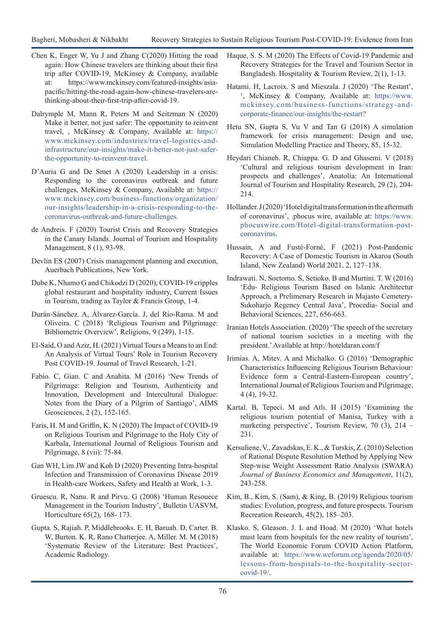- Chen K, Enger W, Yu J and Zhang C(2020) Hitting the road again: How Chinese travelers are thinking about their first trip after COVID-19, McKinsey & Company, available at: https://www.mckinsey.com/featured-insights/asiapacific/hitting-the-road-again-how-chinese-travelers-arethinking-about-their-first-trip-after-covid-19.
- Dalrymple M, Mann R, Peters M and Seitzman N (2020) Make it better, not just safer: The opportunity to reinvent travel, , McKinsey & Company, Available at: https:// www.mckinsey.com/industries/travel-logistics-andinfrastructure/our-insights/make-it-better-not-just-saferthe-opportunity-to-reinvent-travel.
- D'Auria G and De Smet A (2020) Leadership in a crisis: Responding to the coronavirus outbreak and future challenges, McKinsey & Company, Available at: [https://](https://www.mckinsey.com/business-functions/organization/our-insights/leadership-in-a-crisis-responding-to-the-coronavirus-outbreak-and-future-challenges) [www.mckinsey.com/business-functions/organization/](https://www.mckinsey.com/business-functions/organization/our-insights/leadership-in-a-crisis-responding-to-the-coronavirus-outbreak-and-future-challenges) [our-insights/leadership-in-a-crisis-responding-to-the](https://www.mckinsey.com/business-functions/organization/our-insights/leadership-in-a-crisis-responding-to-the-coronavirus-outbreak-and-future-challenges)[coronavirus-outbreak-and-future-challenges](https://www.mckinsey.com/business-functions/organization/our-insights/leadership-in-a-crisis-responding-to-the-coronavirus-outbreak-and-future-challenges).
- de Andreis. F (2020) Tourist Crisis and Recovery Strategies in the Canary Islands. Journal of Tourism and Hospitality Management, 8 (1), 93-98.
- Devlin ES (2007) Crisis management planning and execution, Auerbach Publications, New York.
- Dube K, Nhamo G and Chikodzi D (2020), COVID-19 cripples global restaurant and hospitality industry, Current Issues in Tourism, trading as Taylor & Francis Group, 1-4.
- Durán-Sánchez. A, Álvarez-García. J, del Río-Rama. M and Oliveira. C (2018) 'Religious Tourism and Pilgrimage: Bibliometric Overview', Religions, 9 (249), 1-15.
- El-Said, O and Aziz, H. (2021) Virtual Tours a Means to an End: An Analysis of Virtual Tours' Role in Tourism Recovery Post COVID-19. Journal of Travel Research, 1-21.
- Fabio. C, Gian. C and Anahita. M (2016) 'New Trends of Pilgrimage: Religion and Tourism, Authenticity and Innovation, Development and Intercultural Dialogue: Notes from the Diary of a Pilgrim of Santiago', AIMS Geosciences, 2 (2), 152-165.
- Faris, H. M and Griffin, K. N (2020) The Impact of COVID-19 on Religious Tourism and Pilgrimage to the Holy City of Karbala, International Journal of Religious Tourism and Pilgrimage, 8 (vii): 75-84.
- Gan WH, Lim JW and Koh D (2020) Preventing Intra-hospital Infection and Transmission of Coronavirus Disease 2019 in Health-care Workers, Safety and Health at Work, 1-3.
- Gruescu. R, Nanu. R and Pirvu. G (2008) 'Human Resouece Management in the Tourism Industry', Bulletin UASVM, Horticulture 65(2), 168- 173.
- Gupta. S, Rajiah. P, Middlebrooks. E. H, Baruah. D, Carter. B. W, Burton. K. R, Rano Chatterjee. A, Miller. M. M (2018) 'Systematic Review of the Literature: Best Practices', Academic Radiology.
- Haque, S. S. M (2020) The Effects of Covid-19 Pandemic and Recovery Strategies for the Travel and Tourism Sector in Bangladesh. Hospitality & Tourism Review, 2(1), 1-13.
- Hatami. H, Lacroix. S and Mieszala. J (2020) 'The Restart', ', McKinsey & Company, Available at: https://www. mckinsey.com/business-functions/strategy-andcorporate-finance/our-insights/the-restart?
- Hetu SN, Gupta S, Vu V and Tan G (2018) A simulation framework for crisis management: Design and use, Simulation Modelling Practice and Theory, 85, 15-32.
- Heydari Chianeh. R, Chiappa. G. D and Ghasemi. V (2018) 'Cultural and religious tourism development in Iran: prospects and challenges', Anatolia: An International Journal of Tourism and Hospitality Research, 29 (2), 204- 214.
- Hollander. J (2020) 'Hotel digital transformation in the aftermath of coronavirus', .phocus wire, available at: [https://www.](https://www.phocuswire.com/Hotel-digital-transformation-post-coronavirus) [phocuswire.com/Hotel-digital-transformation-post](https://www.phocuswire.com/Hotel-digital-transformation-post-coronavirus)[coronavirus](https://www.phocuswire.com/Hotel-digital-transformation-post-coronavirus).
- Hussain, A and Fusté-Forné, F (2021) Post-Pandemic Recovery: A Case of Domestic Tourism in Akaroa (South Island, New Zealand) World 2021, 2, 127–138.
- Indrawati. N, Soetomo. S, Setioko. B and Murtini. T. W (2016) 'Edu- Religious Tourism Based on Islanic Architectur Approach, a Prelimenary Research in Majasto Cemetery-Sukoharjo Regency Central Java', Procedia- Social and Behavioral Sciences, 227, 656-663.
- Iranian Hotels Association. (2020) 'The speech of the secretary of national tourism societies in a meeting with the president.' Available at http://hoteldaran.com/f
- Irimias. A, Mitev. A and Michalko. G (2016) 'Demographic Characteristics Influencing Religious Tourism Behaviour: Evidence form a Central-Eastern-European country', International Journal of Religious Tourism and Pilgrimage, 4 (4), 19-32.
- Kartal. B, Tepeci. M and Atlı. H (2015) 'Examining the religious tourism potential of Manisa, Turkey with a marketing perspective', Tourism Review, 70 (3), 214 – 231.
- Kersuliene, V., Zavadskas, E. K., & Turskis, Z. (2010) Selection of Rational Dispute Resolution Method by Applying New Step-wise Weight Assessment Ratio Analysis (SWARA) *Journal of Business Economics and Management*, 11(2), 243-258.
- Kim, B., Kim, S. (Sam), & King, B. (2019) Religious tourism studies: Evolution, progress, and future prospects. Tourism Recreation Research, 45(2), 185–203.
- Klasko. S, Gleason. J. L and Hoad. M (2020) 'What hotels must learn from hospitals for the new reality of tourism', The World Economic Forum COVID Action Platform, available at: [https://www.weforum.org/agenda/2020/05/](https://www.weforum.org/agenda/2020/05/lessons-from-hospitals-to-the-hospitality-sector-covid-19/) [lessons-from-hospitals-to-the-hospitality-sector](https://www.weforum.org/agenda/2020/05/lessons-from-hospitals-to-the-hospitality-sector-covid-19/)[covid-19/.](https://www.weforum.org/agenda/2020/05/lessons-from-hospitals-to-the-hospitality-sector-covid-19/)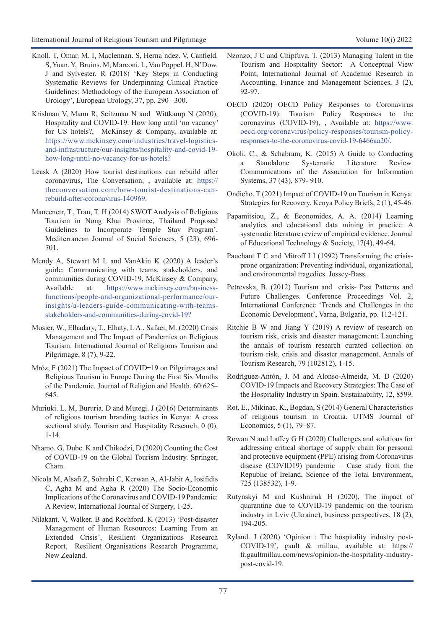- Knoll. T, Omar. M. I, Maclennan. S, Herna´ndez. V, Canfield. S, Yuan. Y, Bruins. M, Marconi. L, Van Poppel. H, N'Dow. J and Sylvester. R (2018) 'Key Steps in Conducting Systematic Reviews for Underpinning Clinical Practice Guidelines: Methodology of the European Association of Urology', European Urology, 37, pp. 290 –300.
- Krishnan V, Mann R, Seitzman N and Wittkamp N (2020), Hospitality and COVID-19: How long until 'no vacancy' for US hotels?, McKinsey & Company, available at: https://www.mckinsey.com/industries/travel-logisticsand-infrastructure/our-insights/hospitality-and-covid-19 how-long-until-no-vacancy-for-us-hotels?
- Leask A (2020) How tourist destinations can rebuild after coronavirus, The Conversation, , available at: [https://](https://theconversation.com/how-tourist-destinations-can-rebuild-after-coronavirus-140969) [theconversation.com/how-tourist-destinations-can](https://theconversation.com/how-tourist-destinations-can-rebuild-after-coronavirus-140969)[rebuild-after-coronavirus-140969](https://theconversation.com/how-tourist-destinations-can-rebuild-after-coronavirus-140969).
- Maneenetr, T., Tran, T. H (2014) SWOT Analysis of Religious Tourism in Nong Khai Province, Thailand Proposed Guidelines to Incorporate Temple Stay Program', Mediterranean Journal of Social Sciences, 5 (23), 696- 701.
- Mendy A, Stewart M L and VanAkin K (2020) A leader's guide: Communicating with teams, stakeholders, and communities during COVID-19, McKinsey & Company, Available at: https://www.mckinsey.com/businessfunctions/people-and-organizational-performance/ourinsights/a-leaders-guide-communicating-with-teamsstakeholders-and-communities-during-covid-19?
- Mosier, W., Elhadary, T., Elhaty, I. A., Safaei, M. (2020) Crisis Management and The Impact of Pandemics on Religious Tourism. International Journal of Religious Tourism and Pilgrimage, 8 (7), 9-22.
- Mróz, F (2021) The Impact of COVID–19 on Pilgrimages and Religious Tourism in Europe During the First Six Months of the Pandemic. Journal of Religion and Health, 60:625– 645.
- Muriuki. L. M, Bururia. D and Mutegi. J (2016) Determinants of religious tourism branding tactics in Kenya: A cross sectional study. Tourism and Hospitality Research, 0 (0), 1-14.
- Nhamo. G, Dube. K and Chikodzi, D (2020) Counting the Cost of COVID-19 on the Global Tourism Industry. Springer, Cham.
- Nicola M, Alsafi Z, Sohrabi C, Kerwan A, Al-Jabir A, Iosifidis C, Agha M and Agha R (2020) The Socio-Economic Implications of the Coronavirus and COVID-19 Pandemic: A Review, International Journal of Surgery, 1-25.
- Nilakant. V, Walker. B and Rochford. K (2013) 'Post-disaster Management of Human Resources: Learning From an Extended Crisis', Resilient Organizations Research Report, Resilient Organisations Research Programme, New Zealand.
- Nzonzo, J C and Chipfuva, T. (2013) Managing Talent in the Tourism and Hospitality Sector: A Conceptual View Point, International Journal of Academic Research in Accounting, Finance and Management Sciences, 3 (2), 92-97.
- OECD (2020) OECD Policy Responses to Coronavirus (COVID-19): Tourism Policy Responses to the coronavirus (COVID-19), , Available at: [https://www.](https://www.oecd.org/coronavirus/policy-responses/tourism-policy-responses-to-the-coronavirus-covid-19-6466aa20/) [oecd.org/coronavirus/policy-responses/tourism-policy](https://www.oecd.org/coronavirus/policy-responses/tourism-policy-responses-to-the-coronavirus-covid-19-6466aa20/)[responses-to-the-coronavirus-covid-19-6466aa20/.](https://www.oecd.org/coronavirus/policy-responses/tourism-policy-responses-to-the-coronavirus-covid-19-6466aa20/)
- Okoli, C., & Schabram, K. (2015) A Guide to Conducting a Standalone Systematic Literature Review. Communications of the Association for Information Systems, 37 (43), 879- 910.
- Ondicho. T (2021) Impact of COVID-19 on Tourism in Kenya: Strategies for Recovery. Kenya Policy Briefs, 2 (1), 45-46.
- Papamitsiou, Z., & Economides, A. A. (2014) Learning analytics and educational data mining in practice: A systematic literature review of empirical evidence. Journal of Educational Technology & Society, 17(4), 49-64.
- Pauchant T C and Mitroff I I (1992) Transforming the crisisprone organization: Preventing individual, organizational, and environmental tragedies. Jossey-Bass.
- Petrevska, B. (2012) Tourism and crisis- Past Patterns and Future Challenges. Conference Proceedings Vol. 2, International Conference 'Trends and Challenges in the Economic Development', Varna, Bulgaria, pp. 112-121.
- Ritchie B W and Jiang Y (2019) A review of research on tourism risk, crisis and disaster management: Launching the annals of tourism research curated collection on tourism risk, crisis and disaster management, Annals of Tourism Research, 79 (102812), 1-15.
- Rodríguez-Antón, J. M and Alonso-Almeida, M. D (2020) COVID-19 Impacts and Recovery Strategies: The Case of the Hospitality Industry in Spain. Sustainability, 12, 8599.
- Rot, E., Mikinac, K., Bogdan, S (2014) General Characteristics of religious tourism in Croatia. UTMS Journal of Economics, 5 (1), 79–87.
- Rowan N and Laffey G H (2020) Challenges and solutions for addressing critical shortage of supply chain for personal and protective equipment (PPE) arising from Coronavirus disease (COVID19) pandemic – Case study from the Republic of Ireland, Science of the Total Environment, 725 (138532), 1-9.
- Rutynskyi M and Kushniruk H (2020), The impact of quarantine due to COVID-19 pandemic on the tourism industry in Lviv (Ukraine), business perspectives, 18 (2), 194-205.
- Ryland. J (2020) 'Opinion : The hospitality industry post-COVID-19', gault & millau, available at: https:// fr.gaultmillau.com/news/opinion-the-hospitality-industrypost-covid-19.